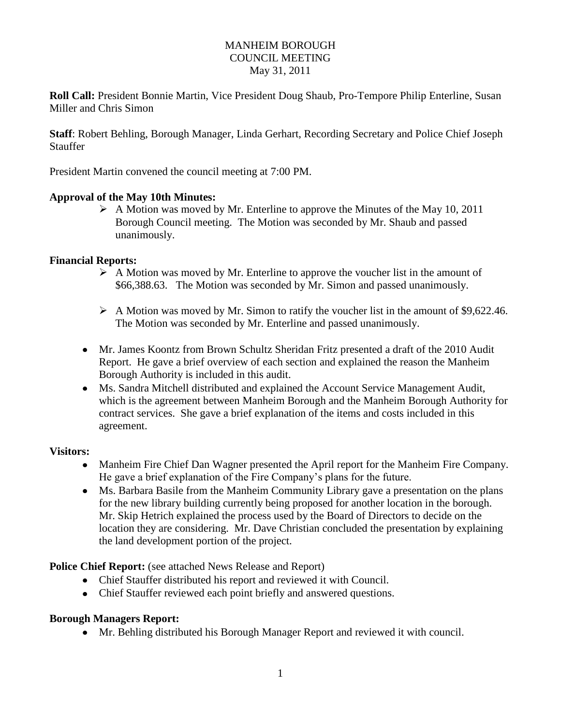### MANHEIM BOROUGH COUNCIL MEETING May 31, 2011

**Roll Call:** President Bonnie Martin, Vice President Doug Shaub, Pro-Tempore Philip Enterline, Susan Miller and Chris Simon

**Staff**: Robert Behling, Borough Manager, Linda Gerhart, Recording Secretary and Police Chief Joseph Stauffer

President Martin convened the council meeting at 7:00 PM.

### **Approval of the May 10th Minutes:**

 $\triangleright$  A Motion was moved by Mr. Enterline to approve the Minutes of the May 10, 2011 Borough Council meeting. The Motion was seconded by Mr. Shaub and passed unanimously.

### **Financial Reports:**

- $\triangleright$  A Motion was moved by Mr. Enterline to approve the voucher list in the amount of \$66,388.63. The Motion was seconded by Mr. Simon and passed unanimously.
- $\triangleright$  A Motion was moved by Mr. Simon to ratify the voucher list in the amount of \$9,622.46. The Motion was seconded by Mr. Enterline and passed unanimously.
- Mr. James Koontz from Brown Schultz Sheridan Fritz presented a draft of the 2010 Audit Report. He gave a brief overview of each section and explained the reason the Manheim Borough Authority is included in this audit.
- Ms. Sandra Mitchell distributed and explained the Account Service Management Audit, which is the agreement between Manheim Borough and the Manheim Borough Authority for contract services. She gave a brief explanation of the items and costs included in this agreement.

### **Visitors:**

- Manheim Fire Chief Dan Wagner presented the April report for the Manheim Fire Company. He gave a brief explanation of the Fire Company's plans for the future.
- Ms. Barbara Basile from the Manheim Community Library gave a presentation on the plans for the new library building currently being proposed for another location in the borough. Mr. Skip Hetrich explained the process used by the Board of Directors to decide on the location they are considering. Mr. Dave Christian concluded the presentation by explaining the land development portion of the project.

**Police Chief Report:** (see attached News Release and Report)

- Chief Stauffer distributed his report and reviewed it with Council.
- Chief Stauffer reviewed each point briefly and answered questions.

### **Borough Managers Report:**

Mr. Behling distributed his Borough Manager Report and reviewed it with council.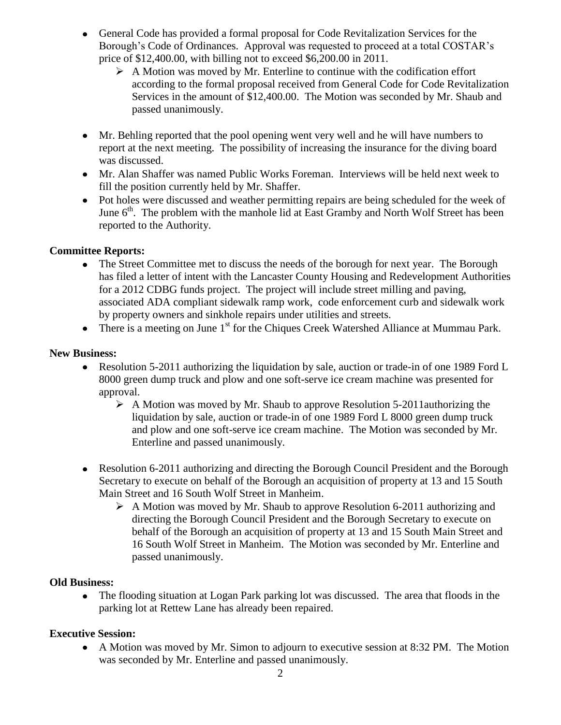- General Code has provided a formal proposal for Code Revitalization Services for the Borough's Code of Ordinances. Approval was requested to proceed at a total COSTAR's price of \$12,400.00, with billing not to exceed \$6,200.00 in 2011.
	- $\triangleright$  A Motion was moved by Mr. Enterline to continue with the codification effort according to the formal proposal received from General Code for Code Revitalization Services in the amount of \$12,400.00. The Motion was seconded by Mr. Shaub and passed unanimously.
- Mr. Behling reported that the pool opening went very well and he will have numbers to report at the next meeting. The possibility of increasing the insurance for the diving board was discussed.
- Mr. Alan Shaffer was named Public Works Foreman. Interviews will be held next week to fill the position currently held by Mr. Shaffer.
- Pot holes were discussed and weather permitting repairs are being scheduled for the week of June  $6<sup>th</sup>$ . The problem with the manhole lid at East Gramby and North Wolf Street has been reported to the Authority.

# **Committee Reports:**

- The Street Committee met to discuss the needs of the borough for next year. The Borough has filed a letter of intent with the Lancaster County Housing and Redevelopment Authorities for a 2012 CDBG funds project. The project will include street milling and paving, associated ADA compliant sidewalk ramp work, code enforcement curb and sidewalk work by property owners and sinkhole repairs under utilities and streets.
- There is a meeting on June  $1<sup>st</sup>$  for the Chiques Creek Watershed Alliance at Mummau Park.

### **New Business:**

- Resolution 5-2011 authorizing the liquidation by sale, auction or trade-in of one 1989 Ford L 8000 green dump truck and plow and one soft-serve ice cream machine was presented for approval.
	- $\triangleright$  A Motion was moved by Mr. Shaub to approve Resolution 5-2011 authorizing the liquidation by sale, auction or trade-in of one 1989 Ford L 8000 green dump truck and plow and one soft-serve ice cream machine. The Motion was seconded by Mr. Enterline and passed unanimously.
- Resolution 6-2011 authorizing and directing the Borough Council President and the Borough Secretary to execute on behalf of the Borough an acquisition of property at 13 and 15 South Main Street and 16 South Wolf Street in Manheim.
	- $\triangleright$  A Motion was moved by Mr. Shaub to approve Resolution 6-2011 authorizing and directing the Borough Council President and the Borough Secretary to execute on behalf of the Borough an acquisition of property at 13 and 15 South Main Street and 16 South Wolf Street in Manheim. The Motion was seconded by Mr. Enterline and passed unanimously.

## **Old Business:**

The flooding situation at Logan Park parking lot was discussed. The area that floods in the  $\bullet$ parking lot at Rettew Lane has already been repaired.

## **Executive Session:**

A Motion was moved by Mr. Simon to adjourn to executive session at 8:32 PM. The Motion was seconded by Mr. Enterline and passed unanimously.